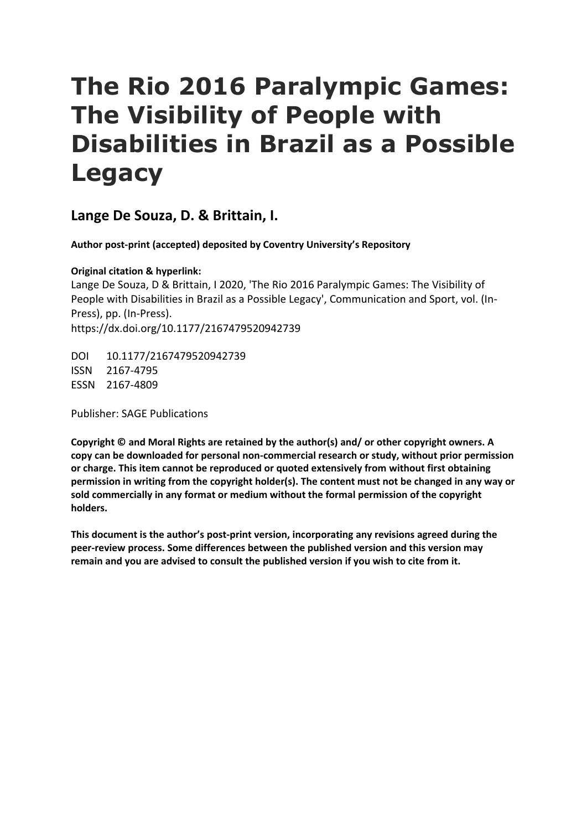# **The Rio 2016 Paralympic Games: The Visibility of People with Disabilities in Brazil as a Possible Legacy**

**Lange De Souza, D. & Brittain, I.** 

**Author post-print (accepted) deposited by Coventry University's Repository**

**Original citation & hyperlink:** 

Lange De Souza, D & Brittain, I 2020, 'The Rio 2016 Paralympic Games: The Visibility of People with Disabilities in Brazil as a Possible Legacy', Communication and Sport, vol. (In-Press), pp. (In-Press). https://dx.doi.org/10.1177/2167479520942739

DOI 10.1177/2167479520942739 ISSN 2167-4795 ESSN 2167-4809

Publisher: SAGE Publications

**Copyright © and Moral Rights are retained by the author(s) and/ or other copyright owners. A copy can be downloaded for personal non-commercial research or study, without prior permission or charge. This item cannot be reproduced or quoted extensively from without first obtaining permission in writing from the copyright holder(s). The content must not be changed in any way or sold commercially in any format or medium without the formal permission of the copyright holders.** 

 **peer-review process. Some differences between the published version and this version may This document is the author's post-print version, incorporating any revisions agreed during the remain and you are advised to consult the published version if you wish to cite from it.**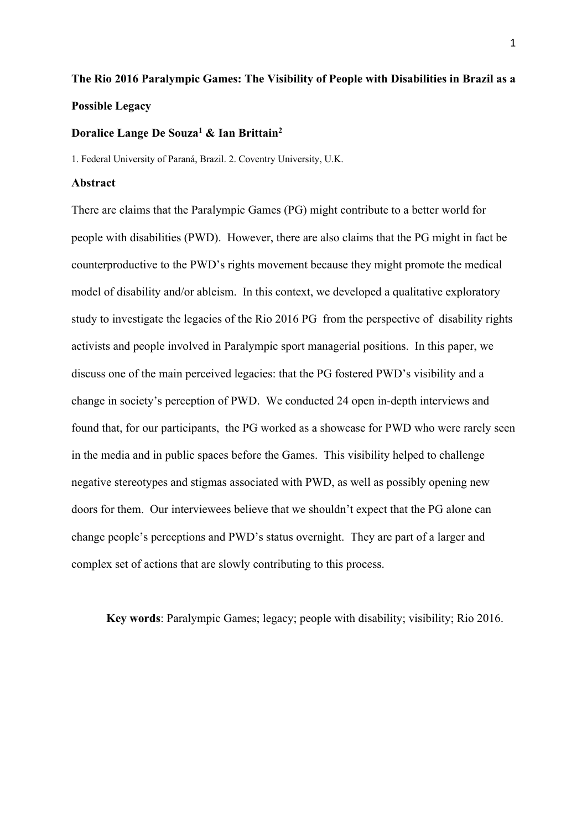# **The Rio 2016 Paralympic Games: The Visibility of People with Disabilities in Brazil as a Possible Legacy**

#### **Doralice Lange De Souza1 & Ian Brittain2**

1. Federal University of Paraná, Brazil. 2. Coventry University, U.K.

# **Abstract**

 counterproductive to the PWD's rights movement because they might promote the medical activists and people involved in Paralympic sport managerial positions. In this paper, we found that, for our participants, the PG worked as a showcase for PWD who were rarely seen negative stereotypes and stigmas associated with PWD, as well as possibly opening new doors for them. Our interviewees believe that we shouldn't expect that the PG alone can There are claims that the Paralympic Games (PG) might contribute to a better world for people with disabilities (PWD). However, there are also claims that the PG might in fact be model of disability and/or ableism. In this context, we developed a qualitative exploratory study to investigate the legacies of the Rio 2016 PG from the perspective of disability rights discuss one of the main perceived legacies: that the PG fostered PWD's visibility and a change in society's perception of PWD. We conducted 24 open in-depth interviews and in the media and in public spaces before the Games. This visibility helped to challenge change people's perceptions and PWD's status overnight. They are part of a larger and complex set of actions that are slowly contributing to this process.

**Key words**: Paralympic Games; legacy; people with disability; visibility; Rio 2016.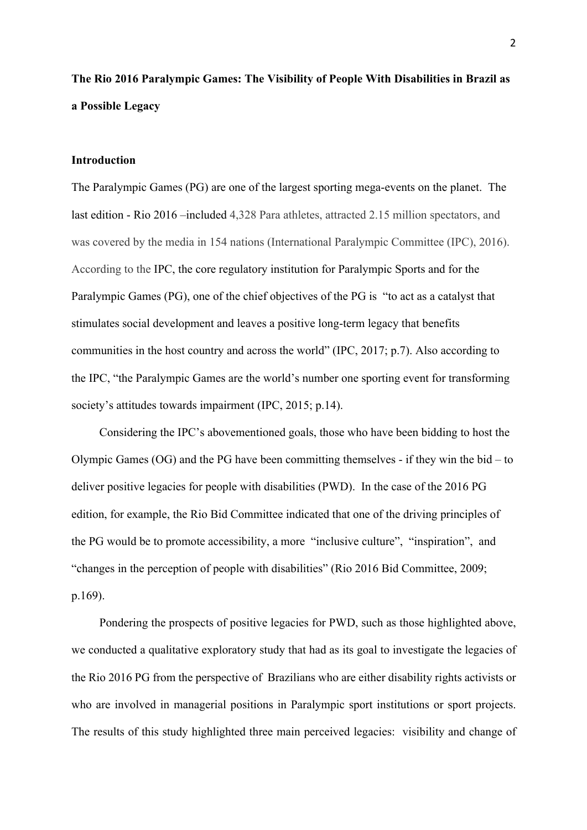**The Rio 2016 Paralympic Games: The Visibility of People With Disabilities in Brazil as a Possible Legacy** 

# **Introduction**

 Paralympic Games (PG), one of the chief objectives of the PG is "to act as a catalyst that The Paralympic Games (PG) are one of the largest sporting mega-events on the planet. The last edition - Rio 2016 –included 4,328 Para athletes, attracted 2.15 million spectators, and was covered by the media in 154 nations (International Paralympic Committee (IPC), 2016). According to the IPC, the core regulatory institution for Paralympic Sports and for the stimulates social development and leaves a positive long-term legacy that benefits communities in the host country and across the world" (IPC, 2017; p.7). Also according to the IPC, "the Paralympic Games are the world's number one sporting event for transforming society's attitudes towards impairment (IPC, 2015; p.14).

 Considering the IPC's abovementioned goals, those who have been bidding to host the Olympic Games (OG) and the PG have been committing themselves - if they win the bid – to the PG would be to promote accessibility, a more "inclusive culture", "inspiration", and deliver positive legacies for people with disabilities (PWD). In the case of the 2016 PG edition, for example, the Rio Bid Committee indicated that one of the driving principles of "changes in the perception of people with disabilities" (Rio 2016 Bid Committee, 2009; p.169).

 Pondering the prospects of positive legacies for PWD, such as those highlighted above, we conducted a qualitative exploratory study that had as its goal to investigate the legacies of the Rio 2016 PG from the perspective of Brazilians who are either disability rights activists or who are involved in managerial positions in Paralympic sport institutions or sport projects. The results of this study highlighted three main perceived legacies: visibility and change of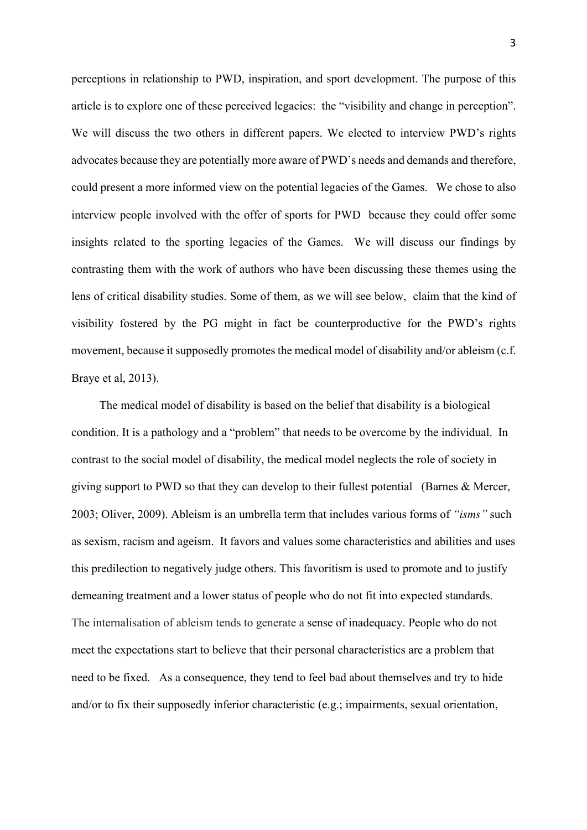perceptions in relationship to PWD, inspiration, and sport development. The purpose of this article is to explore one of these perceived legacies: the "visibility and change in perception". We will discuss the two others in different papers. We elected to interview PWD's rights advocates because they are potentially more aware of PWD's needs and demands and therefore, could present a more informed view on the potential legacies of the Games. We chose to also interview people involved with the offer of sports for PWD because they could offer some insights related to the sporting legacies of the Games. We will discuss our findings by contrasting them with the work of authors who have been discussing these themes using the lens of critical disability studies. Some of them, as we will see below, claim that the kind of visibility fostered by the PG might in fact be counterproductive for the PWD's rights movement, because it supposedly promotes the medical model of disability and/or ableism (c.f. Braye et al, 2013).

 The medical model of disability is based on the belief that disability is a biological condition. It is a pathology and a "problem" that needs to be overcome by the individual. In contrast to the social model of disability, the medical model neglects the role of society in giving support to PWD so that they can develop to their fullest potential (Barnes & Mercer, as sexism, racism and ageism. It favors and values some characteristics and abilities and uses The internalisation of ableism tends to generate a sense of inadequacy. People who do not need to be fixed. As a consequence, they tend to feel bad about themselves and try to hide 2003; Oliver, 2009). Ableism is an umbrella term that includes various forms of *"isms"* such this predilection to negatively judge others. This favoritism is used to promote and to justify demeaning treatment and a lower status of people who do not fit into expected standards. meet the expectations start to believe that their personal characteristics are a problem that and/or to fix their supposedly inferior characteristic (e.g.; impairments, sexual orientation,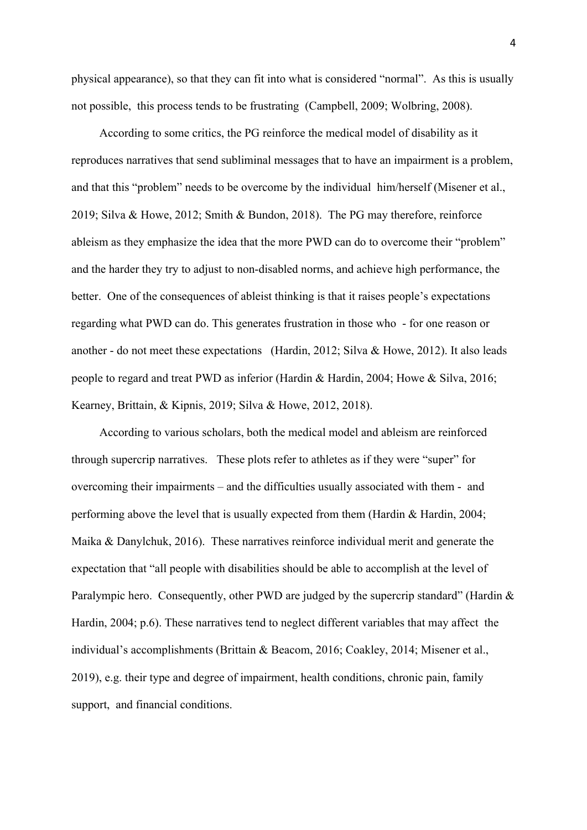physical appearance), so that they can fit into what is considered "normal". As this is usually not possible, this process tends to be frustrating (Campbell, 2009; Wolbring, 2008).

 and that this "problem" needs to be overcome by the individual him/herself (Misener et al., 2019; Silva & Howe, 2012; Smith & Bundon, 2018). The PG may therefore, reinforce ableism as they emphasize the idea that the more PWD can do to overcome their "problem" regarding what PWD can do. This generates frustration in those who - for one reason or another - do not meet these expectations (Hardin, 2012; Silva & Howe, 2012). It also leads people to regard and treat PWD as inferior (Hardin & Hardin, 2004; Howe & Silva, 2016; Kearney, Brittain, & Kipnis, 2019; Silva & Howe, 2012, 2018). According to some critics, the PG reinforce the medical model of disability as it reproduces narratives that send subliminal messages that to have an impairment is a problem, and the harder they try to adjust to non-disabled norms, and achieve high performance, the better. One of the consequences of ableist thinking is that it raises people's expectations

 According to various scholars, both the medical model and ableism are reinforced through supercrip narratives. These plots refer to athletes as if they were "super" for overcoming their impairments – and the difficulties usually associated with them - and performing above the level that is usually expected from them (Hardin & Hardin, 2004; Maika & Danylchuk, 2016). These narratives reinforce individual merit and generate the Paralympic hero. Consequently, other PWD are judged by the supercrip standard" (Hardin & Hardin, 2004; p.6). These narratives tend to neglect different variables that may affect the expectation that "all people with disabilities should be able to accomplish at the level of individual's accomplishments (Brittain & Beacom, 2016; Coakley, 2014; Misener et al., 2019), e.g. their type and degree of impairment, health conditions, chronic pain, family support, and financial conditions.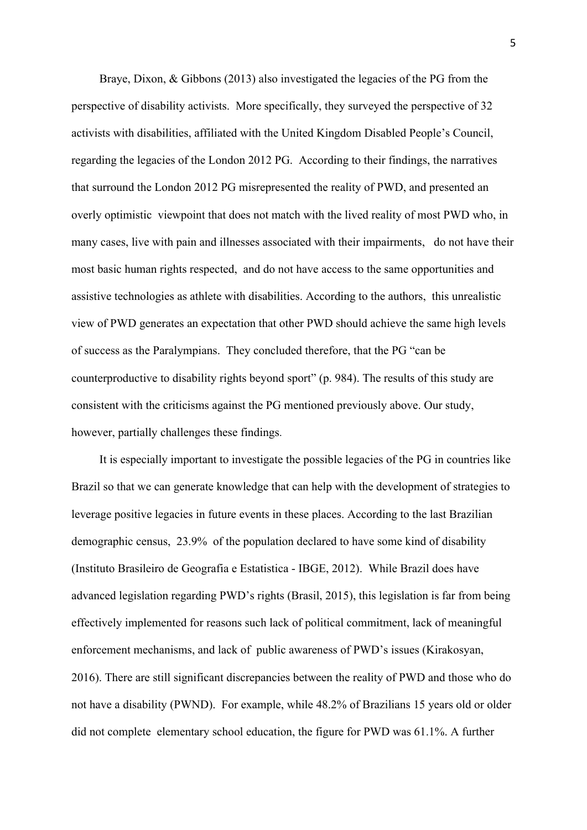Braye, Dixon, & Gibbons (2013) also investigated the legacies of the PG from the perspective of disability activists. More specifically, they surveyed the perspective of 32 activists with disabilities, affiliated with the United Kingdom Disabled People's Council, regarding the legacies of the London 2012 PG. According to their findings, the narratives overly optimistic viewpoint that does not match with the lived reality of most PWD who, in assistive technologies as athlete with disabilities. According to the authors, this unrealistic view of PWD generates an expectation that other PWD should achieve the same high levels counterproductive to disability rights beyond sport" (p. 984). The results of this study are that surround the London 2012 PG misrepresented the reality of PWD, and presented an many cases, live with pain and illnesses associated with their impairments, do not have their most basic human rights respected, and do not have access to the same opportunities and of success as the Paralympians. They concluded therefore, that the PG "can be consistent with the criticisms against the PG mentioned previously above. Our study, however, partially challenges these findings.

 effectively implemented for reasons such lack of political commitment, lack of meaningful 2016). There are still significant discrepancies between the reality of PWD and those who do did not complete elementary school education, the figure for PWD was 61.1%. A further It is especially important to investigate the possible legacies of the PG in countries like Brazil so that we can generate knowledge that can help with the development of strategies to leverage positive legacies in future events in these places. According to the last Brazilian demographic census, 23.9% of the population declared to have some kind of disability (Instituto Brasileiro de Geografia e Estatistica - IBGE, 2012). While Brazil does have advanced legislation regarding PWD's rights (Brasil, 2015), this legislation is far from being enforcement mechanisms, and lack of public awareness of PWD's issues (Kirakosyan, not have a disability (PWND). For example, while 48.2% of Brazilians 15 years old or older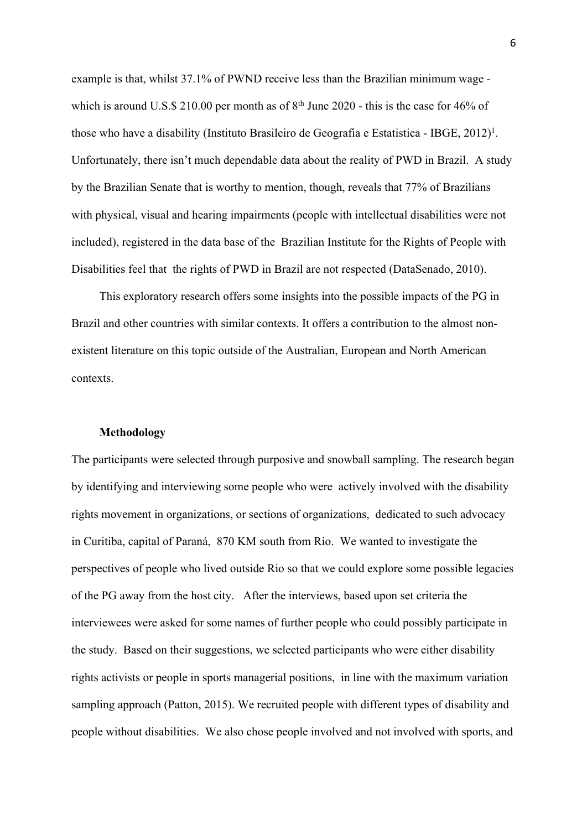example is that, whilst 37.1% of PWND receive less than the Brazilian minimum wage which is around U.S.\$ 210.00 per month as of  $8<sup>th</sup>$  June 2020 - this is the case for 46% of those who have a disability (Instituto Brasileiro de Geografia e Estatistica - IBGE, 2012)<sup>1</sup>. by the Brazilian Senate that is worthy to mention, though, reveals that 77% of Brazilians by the Brazilian Senate that is worthy to mention, though, reveals that 77% of Brazilians with physical, visual and hearing impairments (people with intellectual disabilities were not included), registered in the data base of the Brazilian Institute for the Rights of People with Disabilities feel that the rights of PWD in Brazil are not respected (DataSenado, 2010). Unfortunately, there isn't much dependable data about the reality of PWD in Brazil. A study

 This exploratory research offers some insights into the possible impacts of the PG in Brazil and other countries with similar contexts. It offers a contribution to the almost nonexistent literature on this topic outside of the Australian, European and North American contexts.

# **Methodology**

 The participants were selected through purposive and snowball sampling. The research began by identifying and interviewing some people who were actively involved with the disability in Curitiba, capital of Paraná, 870 KM south from Rio. We wanted to investigate the of the PG away from the host city. After the interviews, based upon set criteria the interviewees were asked for some names of further people who could possibly participate in rights activists or people in sports managerial positions, in line with the maximum variation rights movement in organizations, or sections of organizations, dedicated to such advocacy perspectives of people who lived outside Rio so that we could explore some possible legacies the study. Based on their suggestions, we selected participants who were either disability sampling approach (Patton, 2015). We recruited people with different types of disability and people without disabilities. We also chose people involved and not involved with sports, and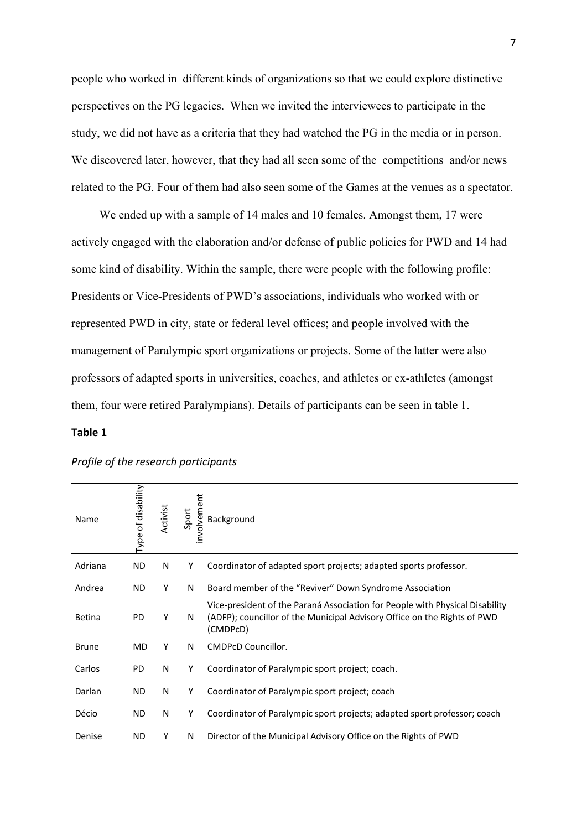people who worked in different kinds of organizations so that we could explore distinctive perspectives on the PG legacies. When we invited the interviewees to participate in the We discovered later, however, that they had all seen some of the competitions and/or news study, we did not have as a criteria that they had watched the PG in the media or in person. related to the PG. Four of them had also seen some of the Games at the venues as a spectator.

 some kind of disability. Within the sample, there were people with the following profile: represented PWD in city, state or federal level offices; and people involved with the professors of adapted sports in universities, coaches, and athletes or ex-athletes (amongst We ended up with a sample of 14 males and 10 females. Amongst them, 17 were actively engaged with the elaboration and/or defense of public policies for PWD and 14 had Presidents or Vice-Presidents of PWD's associations, individuals who worked with or management of Paralympic sport organizations or projects. Some of the latter were also them, four were retired Paralympians). Details of participants can be seen in table 1.

# **Table 1**

| Name          | Type of disability | Activist | involvement<br>Sport | Background                                                                                                                                                           |
|---------------|--------------------|----------|----------------------|----------------------------------------------------------------------------------------------------------------------------------------------------------------------|
| Adriana       | ND.                | N        | Y                    | Coordinator of adapted sport projects; adapted sports professor.                                                                                                     |
| Andrea        | ND.                | Y        | N                    | Board member of the "Reviver" Down Syndrome Association                                                                                                              |
| <b>Betina</b> | <b>PD</b>          | Y        | N                    | Vice-president of the Paraná Association for People with Physical Disability<br>(ADFP); councillor of the Municipal Advisory Office on the Rights of PWD<br>(CMDPcD) |
| <b>Brune</b>  | <b>MD</b>          | Y        | N                    | <b>CMDPcD Councillor.</b>                                                                                                                                            |
| Carlos        | <b>PD</b>          | N        | Υ                    | Coordinator of Paralympic sport project; coach.                                                                                                                      |
| Darlan        | ND.                | N        | Υ                    | Coordinator of Paralympic sport project; coach                                                                                                                       |
| Décio         | ND.                | N        | Υ                    | Coordinator of Paralympic sport projects; adapted sport professor; coach                                                                                             |
| Denise        | ND.                | Y        | N                    | Director of the Municipal Advisory Office on the Rights of PWD                                                                                                       |

# *Profile of the research participants*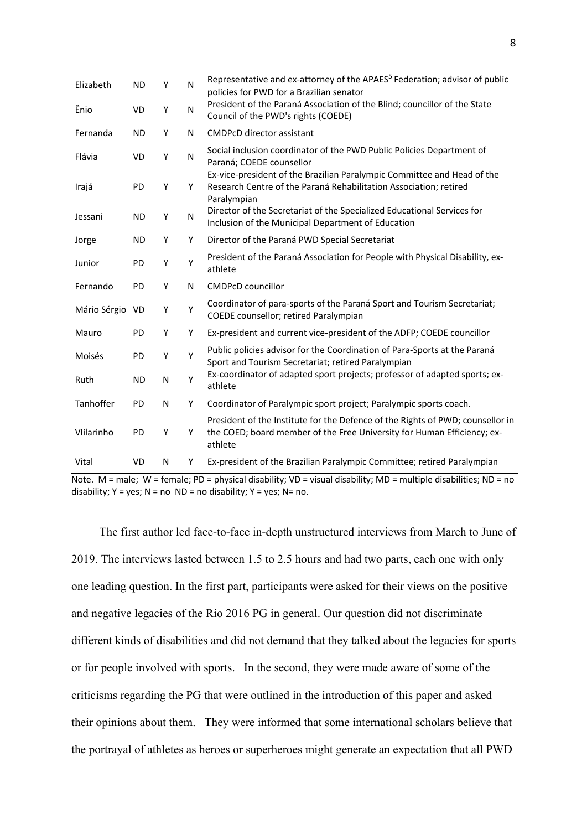| Elizabeth    | <b>ND</b> | Y | N         | Representative and ex-attorney of the APAES <sup>5</sup> Federation; advisor of public<br>policies for PWD for a Brazilian senator                                           |
|--------------|-----------|---|-----------|------------------------------------------------------------------------------------------------------------------------------------------------------------------------------|
| Ênio         | VD        | Υ | N         | President of the Paraná Association of the Blind; councillor of the State<br>Council of the PWD's rights (COEDE)                                                             |
| Fernanda     | <b>ND</b> | Υ | N         | <b>CMDPcD</b> director assistant                                                                                                                                             |
| Flávia       | VD        | Υ | N         | Social inclusion coordinator of the PWD Public Policies Department of<br>Paraná; COEDE counsellor<br>Ex-vice-president of the Brazilian Paralympic Committee and Head of the |
| Irajá        | <b>PD</b> | Υ | Υ         | Research Centre of the Paraná Rehabilitation Association; retired<br>Paralympian                                                                                             |
| Jessani      | <b>ND</b> | Υ | ${\sf N}$ | Director of the Secretariat of the Specialized Educational Services for<br>Inclusion of the Municipal Department of Education                                                |
| Jorge        | <b>ND</b> | Y | Y         | Director of the Paraná PWD Special Secretariat                                                                                                                               |
| Junior       | PD        | Υ | Y         | President of the Paraná Association for People with Physical Disability, ex-<br>athlete                                                                                      |
| Fernando     | PD        | Υ | N         | <b>CMDPcD</b> councillor                                                                                                                                                     |
| Mário Sérgio | <b>VD</b> | Υ | Υ         | Coordinator of para-sports of the Paraná Sport and Tourism Secretariat;<br>COEDE counsellor; retired Paralympian                                                             |
| Mauro        | PD        | Υ | Υ         | Ex-president and current vice-president of the ADFP; COEDE councillor                                                                                                        |
| Moisés       | <b>PD</b> | Υ | Y         | Public policies advisor for the Coordination of Para-Sports at the Paraná<br>Sport and Tourism Secretariat; retired Paralympian                                              |
| Ruth         | <b>ND</b> | N | Y         | Ex-coordinator of adapted sport projects; professor of adapted sports; ex-<br>athlete                                                                                        |
| Tanhoffer    | PD        | N | Υ         | Coordinator of Paralympic sport project; Paralympic sports coach.                                                                                                            |
| Vlilarinho   | <b>PD</b> | Y | Υ         | President of the Institute for the Defence of the Rights of PWD; counsellor in<br>the COED; board member of the Free University for Human Efficiency; ex-<br>athlete         |
| Vital        | VD        | N | Υ         | Ex-president of the Brazilian Paralympic Committee; retired Paralympian                                                                                                      |

 Note. M = male; W = female; PD = physical disability; VD = visual disability; MD = multiple disabilities; ND = no disability;  $Y = yes$ ;  $N = no \ ND = no \ disability$ ;  $Y = yes$ ;  $N = no$ .

 2019. The interviews lasted between 1.5 to 2.5 hours and had two parts, each one with only and negative legacies of the Rio 2016 PG in general. Our question did not discriminate different kinds of disabilities and did not demand that they talked about the legacies for sports their opinions about them. They were informed that some international scholars believe that the portrayal of athletes as heroes or superheroes might generate an expectation that all PWD The first author led face-to-face in-depth unstructured interviews from March to June of one leading question. In the first part, participants were asked for their views on the positive or for people involved with sports. In the second, they were made aware of some of the criticisms regarding the PG that were outlined in the introduction of this paper and asked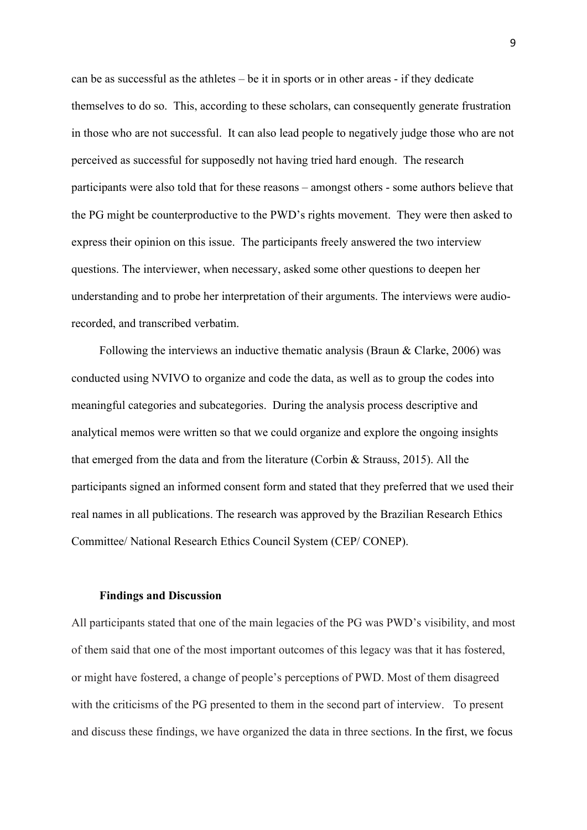can be as successful as the athletes – be it in sports or in other areas - if they dedicate in those who are not successful. It can also lead people to negatively judge those who are not perceived as successful for supposedly not having tried hard enough. The research participants were also told that for these reasons – amongst others - some authors believe that the PG might be counterproductive to the PWD's rights movement. They were then asked to express their opinion on this issue. The participants freely answered the two interview understanding and to probe her interpretation of their arguments. The interviews were audiothemselves to do so. This, according to these scholars, can consequently generate frustration questions. The interviewer, when necessary, asked some other questions to deepen her recorded, and transcribed verbatim.

 that emerged from the data and from the literature (Corbin & Strauss, 2015). All the participants signed an informed consent form and stated that they preferred that we used their real names in all publications. The research was approved by the Brazilian Research Ethics Committee/ National Research Ethics Council System (CEP/ CONEP). Following the interviews an inductive thematic analysis (Braun & Clarke, 2006) was conducted using NVIVO to organize and code the data, as well as to group the codes into meaningful categories and subcategories. During the analysis process descriptive and analytical memos were written so that we could organize and explore the ongoing insights

#### **Findings and Discussion**

 All participants stated that one of the main legacies of the PG was PWD's visibility, and most or might have fostered, a change of people's perceptions of PWD. Most of them disagreed with the criticisms of the PG presented to them in the second part of interview. To present and discuss these findings, we have organized the data in three sections. In the first, we focus of them said that one of the most important outcomes of this legacy was that it has fostered,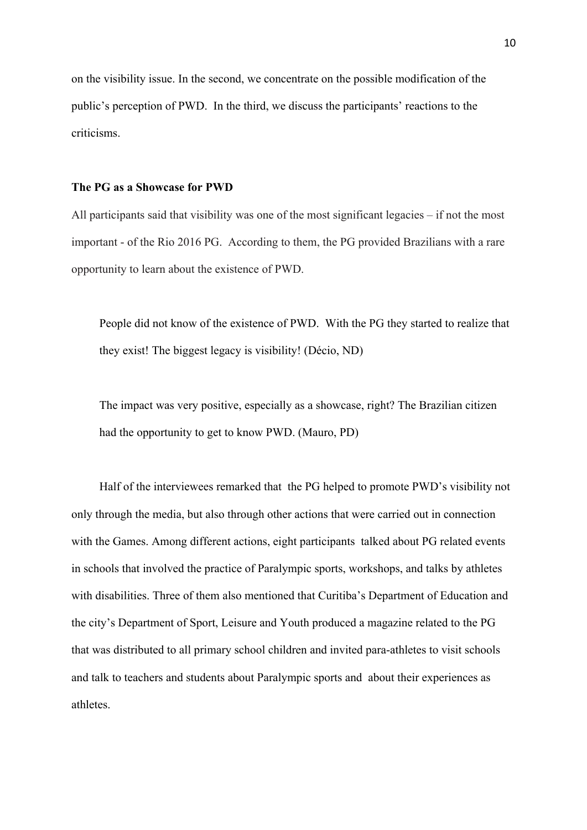on the visibility issue. In the second, we concentrate on the possible modification of the public's perception of PWD. In the third, we discuss the participants' reactions to the criticisms.

#### **The PG as a Showcase for PWD**

 All participants said that visibility was one of the most significant legacies – if not the most important - of the Rio 2016 PG. According to them, the PG provided Brazilians with a rare opportunity to learn about the existence of PWD.

People did not know of the existence of PWD. With the PG they started to realize that they exist! The biggest legacy is visibility! (Décio, ND)

The impact was very positive, especially as a showcase, right? The Brazilian citizen had the opportunity to get to know PWD. (Mauro, PD)

 Half of the interviewees remarked that the PG helped to promote PWD's visibility not with the Games. Among different actions, eight participants talked about PG related events with disabilities. Three of them also mentioned that Curitiba's Department of Education and only through the media, but also through other actions that were carried out in connection in schools that involved the practice of Paralympic sports, workshops, and talks by athletes the city's Department of Sport, Leisure and Youth produced a magazine related to the PG that was distributed to all primary school children and invited para-athletes to visit schools and talk to teachers and students about Paralympic sports and about their experiences as athletes.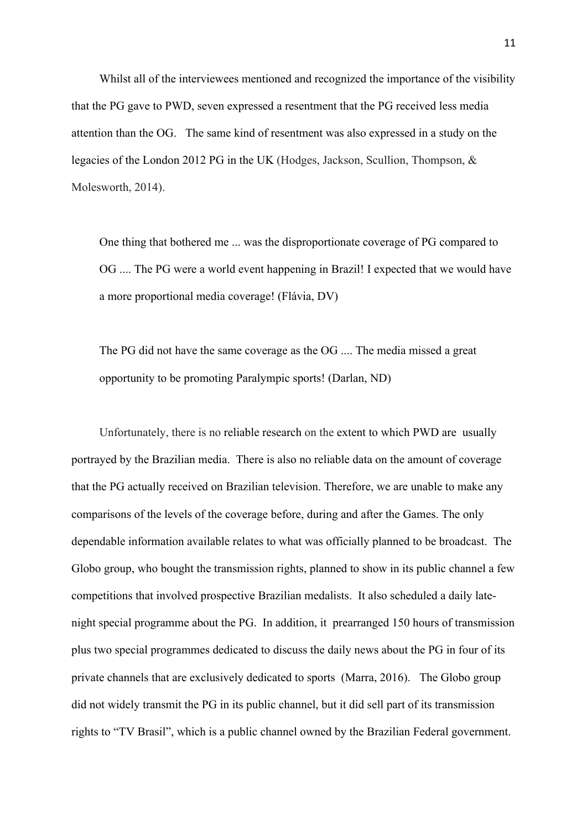Whilst all of the interviewees mentioned and recognized the importance of the visibility that the PG gave to PWD, seven expressed a resentment that the PG received less media attention than the OG. The same kind of resentment was also expressed in a study on the legacies of the London 2012 PG in the UK (Hodges, Jackson, Scullion, Thompson, & Molesworth, 2014).

 One thing that bothered me ... was the disproportionate coverage of PG compared to a more proportional media coverage! (Flávia, DV) OG .... The PG were a world event happening in Brazil! I expected that we would have

The PG did not have the same coverage as the OG .... The media missed a great opportunity to be promoting Paralympic sports! (Darlan, ND)

 Unfortunately, there is no reliable research on the extent to which PWD are usually portrayed by the Brazilian media. There is also no reliable data on the amount of coverage portrayed by the Brazilian media. There is also no reliable data on the amount of coverage that the PG actually received on Brazilian television. Therefore, we are unable to make any comparisons of the levels of the coverage before, during and after the Games. The only dependable information available relates to what was officially planned to be broadcast. The Globo group, who bought the transmission rights, planned to show in its public channel a few competitions that involved prospective Brazilian medalists. It also scheduled a daily late- night special programme about the PG. In addition, it prearranged 150 hours of transmission plus two special programmes dedicated to discuss the daily news about the PG in four of its private channels that are exclusively dedicated to sports (Marra, 2016). The Globo group did not widely transmit the PG in its public channel, but it did sell part of its transmission rights to "TV Brasil", which is a public channel owned by the Brazilian Federal government.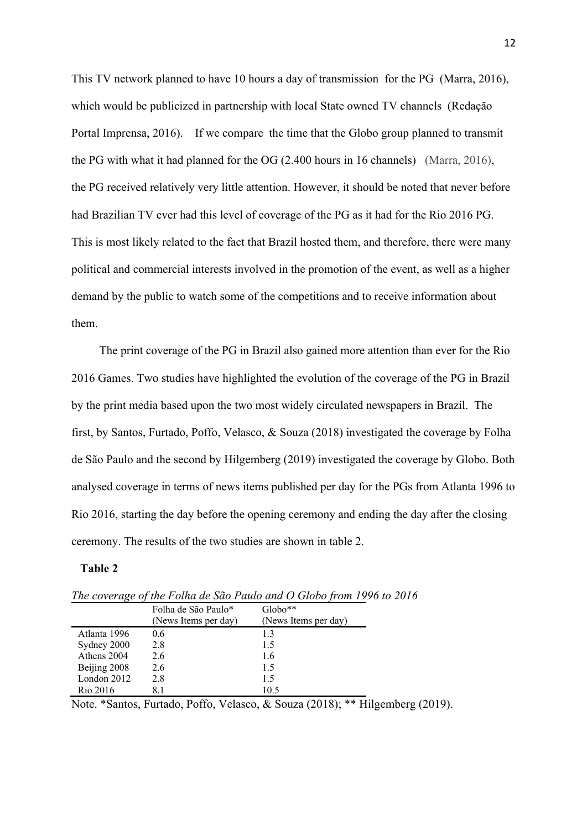This TV network planned to have 10 hours a day of transmission for the PG (Marra, 2016), which would be publicized in partnership with local State owned TV channels (Redação Portal Imprensa, 2016). If we compare the time that the Globo group planned to transmit the PG with what it had planned for the OG (2.400 hours in 16 channels) (Marra, 2016), the PG received relatively very little attention. However, it should be noted that never before political and commercial interests involved in the promotion of the event, as well as a higher demand by the public to watch some of the competitions and to receive information about them. had Brazilian TV ever had this level of coverage of the PG as it had for the Rio 2016 PG. This is most likely related to the fact that Brazil hosted them, and therefore, there were many

 them. The print coverage of the PG in Brazil also gained more attention than ever for the Rio 2016 Games. Two studies have highlighted the evolution of the coverage of the PG in Brazil by the print media based upon the two most widely circulated newspapers in Brazil. The first, by Santos, Furtado, Poffo, Velasco, & Souza (2018) investigated the coverage by Folha ceremony. The results of the two studies are shown in table 2. de São Paulo and the second by Hilgemberg (2019) investigated the coverage by Globo. Both analysed coverage in terms of news items published per day for the PGs from Atlanta 1996 to Rio 2016, starting the day before the opening ceremony and ending the day after the closing

### **Table 2**

|              | Folha de São Paulo*<br>(News Items per day) | Globo**<br>(News Items per day) |
|--------------|---------------------------------------------|---------------------------------|
| Atlanta 1996 | 0.6                                         | 1.3                             |
| Sydney 2000  | 2.8                                         | 1.5                             |
| Athens 2004  | 2.6                                         | 1.6                             |
| Beijing 2008 | 2.6                                         | 1.5                             |
| London 2012  | 2.8                                         | 1.5                             |
| Rio 2016     |                                             | 10.5                            |

*The coverage of the Folha de São Paulo and O Globo from 1996 to 2016* 

Note. \*Santos, Furtado, Poffo, Velasco, & Souza (2018); \*\* Hilgemberg (2019).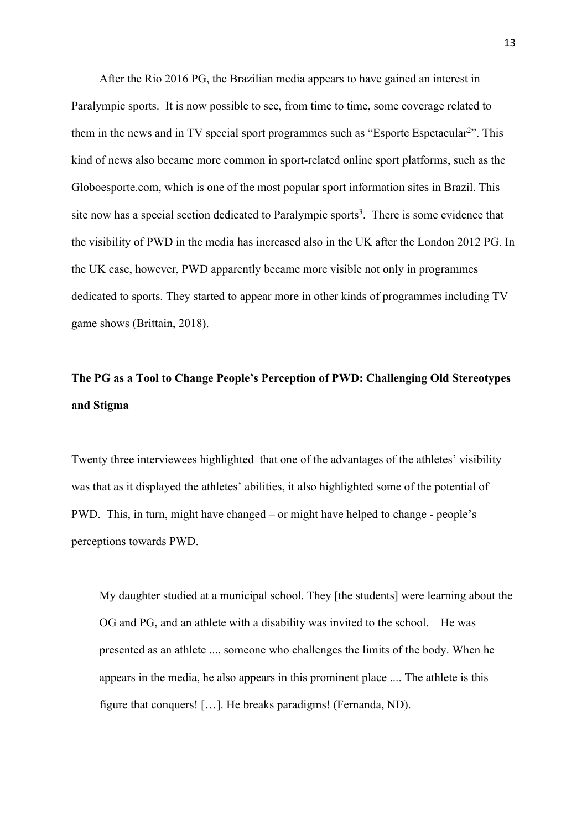After the Rio 2016 PG, the Brazilian media appears to have gained an interest in Paralympic sports. It is now possible to see, from time to time, some coverage related to them in the news and in TV special sport programmes such as "Esporte Espetacular<sup>2</sup>". This kind of news also became more common in sport-related online sport platforms, such as the site now has a special section dedicated to Paralympic sports<sup>3</sup>. There is some evidence that Globoesporte.com, which is one of the most popular sport information sites in Brazil. This the visibility of PWD in the media has increased also in the UK after the London 2012 PG. In the UK case, however, PWD apparently became more visible not only in programmes dedicated to sports. They started to appear more in other kinds of programmes including TV game shows (Brittain, 2018).

# **The PG as a Tool to Change People's Perception of PWD: Challenging Old Stereotypes and Stigma**

 was that as it displayed the athletes' abilities, it also highlighted some of the potential of PWD. This, in turn, might have changed – or might have helped to change - people's Twenty three interviewees highlighted that one of the advantages of the athletes' visibility perceptions towards PWD.

My daughter studied at a municipal school. They [the students] were learning about the OG and PG, and an athlete with a disability was invited to the school. He was presented as an athlete ..., someone who challenges the limits of the body. When he appears in the media, he also appears in this prominent place .... The athlete is this figure that conquers! […]. He breaks paradigms! (Fernanda, ND).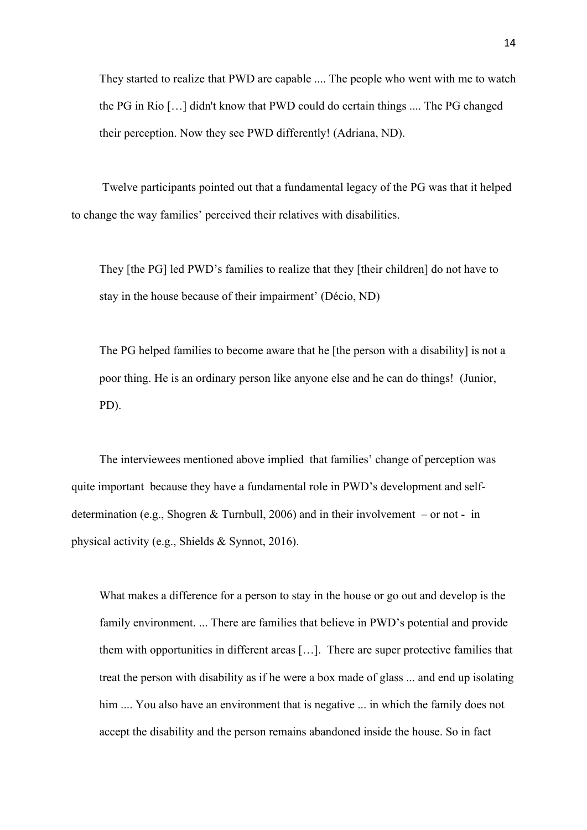They started to realize that PWD are capable .... The people who went with me to watch the PG in Rio […] didn't know that PWD could do certain things .... The PG changed their perception. Now they see PWD differently! (Adriana, ND).

 Twelve participants pointed out that a fundamental legacy of the PG was that it helped to change the way families' perceived their relatives with disabilities.

 They [the PG] led PWD's families to realize that they [their children] do not have to stay in the house because of their impairment' (Décio, ND)

 The PG helped families to become aware that he [the person with a disability] is not a poor thing. He is an ordinary person like anyone else and he can do things! (Junior, PD).

 The interviewees mentioned above implied that families' change of perception was quite important because they have a fundamental role in PWD's development and self- determination (e.g., Shogren & Turnbull, 2006) and in their involvement – or not - in physical activity (e.g., Shields & Synnot, 2016).

 family environment. ... There are families that believe in PWD's potential and provide them with opportunities in different areas […]. There are super protective families that treat the person with disability as if he were a box made of glass ... and end up isolating him .... You also have an environment that is negative ... in which the family does not What makes a difference for a person to stay in the house or go out and develop is the accept the disability and the person remains abandoned inside the house. So in fact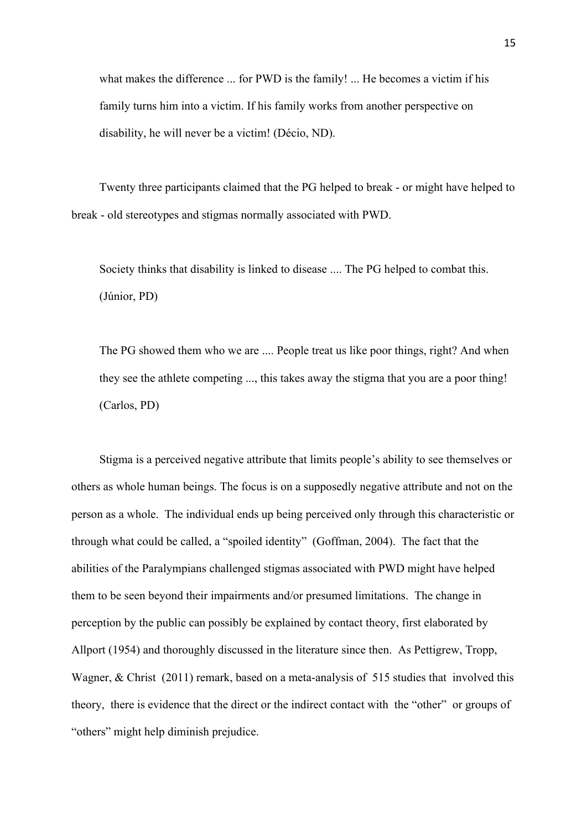what makes the difference ... for PWD is the family! ... He becomes a victim if his family turns him into a victim. If his family works from another perspective on disability, he will never be a victim! (Décio, ND).

 Twenty three participants claimed that the PG helped to break - or might have helped to break - old stereotypes and stigmas normally associated with PWD.

Society thinks that disability is linked to disease .... The PG helped to combat this. (Júnior, PD)

The PG showed them who we are .... People treat us like poor things, right? And when they see the athlete competing ..., this takes away the stigma that you are a poor thing! (Carlos, PD)

 others as whole human beings. The focus is on a supposedly negative attribute and not on the person as a whole. The individual ends up being perceived only through this characteristic or through what could be called, a "spoiled identity" (Goffman, 2004). The fact that the them to be seen beyond their impairments and/or presumed limitations. The change in Allport (1954) and thoroughly discussed in the literature since then. As Pettigrew, Tropp, Wagner, & Christ (2011) remark, based on a meta-analysis of 515 studies that involved this theory, there is evidence that the direct or the indirect contact with the "other" or groups of Stigma is a perceived negative attribute that limits people's ability to see themselves or abilities of the Paralympians challenged stigmas associated with PWD might have helped perception by the public can possibly be explained by contact theory, first elaborated by "others" might help diminish prejudice.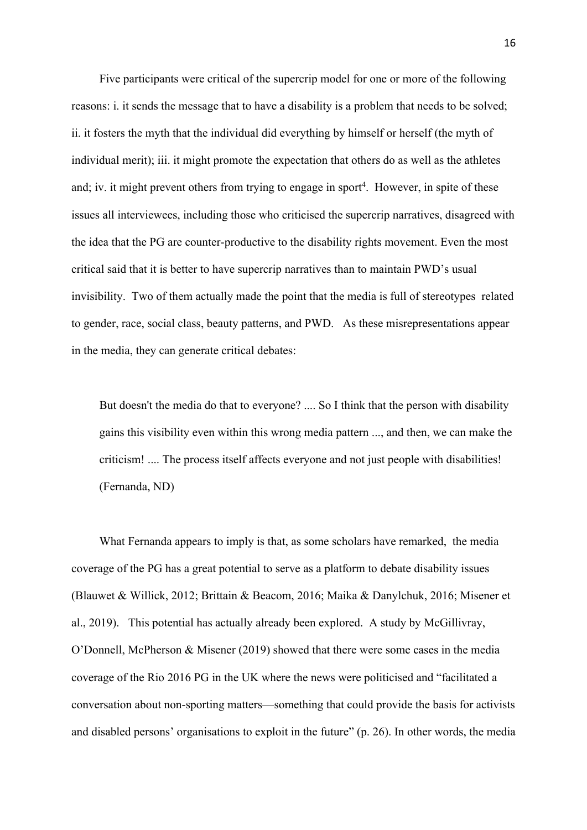ii. it fosters the myth that the individual did everything by himself or herself (the myth of individual merit); iii. it might promote the expectation that others do as well as the athletes and; iv. it might prevent others from trying to engage in sport<sup>4</sup>. However, in spite of these to gender, race, social class, beauty patterns, and PWD. As these misrepresentations appear Five participants were critical of the supercrip model for one or more of the following reasons: i. it sends the message that to have a disability is a problem that needs to be solved; issues all interviewees, including those who criticised the supercrip narratives, disagreed with the idea that the PG are counter-productive to the disability rights movement. Even the most critical said that it is better to have supercrip narratives than to maintain PWD's usual invisibility. Two of them actually made the point that the media is full of stereotypes related in the media, they can generate critical debates:

 gains this visibility even within this wrong media pattern ..., and then, we can make the But doesn't the media do that to everyone? .... So I think that the person with disability criticism! .... The process itself affects everyone and not just people with disabilities! (Fernanda, ND)

 What Fernanda appears to imply is that, as some scholars have remarked, the media coverage of the PG has a great potential to serve as a platform to debate disability issues O'Donnell, McPherson & Misener (2019) showed that there were some cases in the media coverage of the Rio 2016 PG in the UK where the news were politicised and "facilitated a and disabled persons' organisations to exploit in the future" (p. 26). In other words, the media (Blauwet & Willick, 2012; Brittain & Beacom, 2016; Maika & Danylchuk, 2016; Misener et al., 2019). This potential has actually already been explored. A study by McGillivray, conversation about non-sporting matters—something that could provide the basis for activists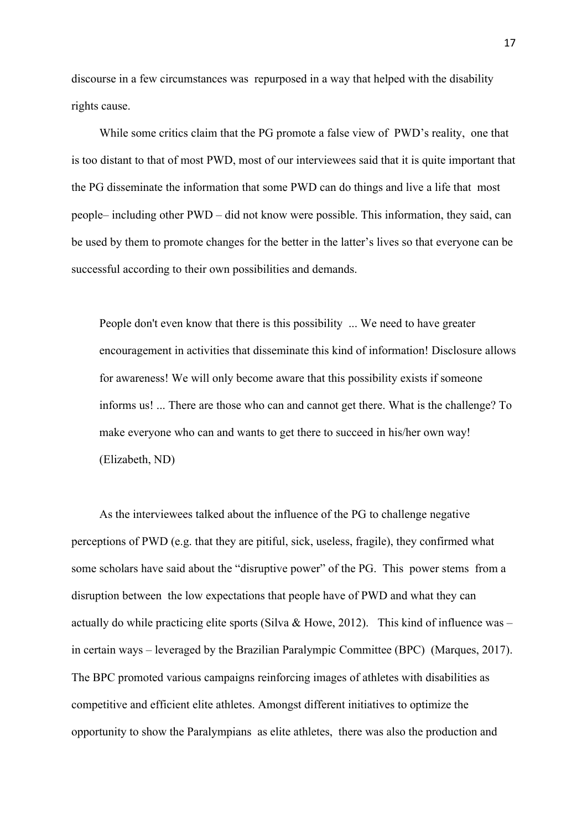discourse in a few circumstances was repurposed in a way that helped with the disability rights cause.

 While some critics claim that the PG promote a false view of PWD's reality, one that the PG disseminate the information that some PWD can do things and live a life that most people– including other PWD – did not know were possible. This information, they said, can be used by them to promote changes for the better in the latter's lives so that everyone can be is too distant to that of most PWD, most of our interviewees said that it is quite important that successful according to their own possibilities and demands.

 People don't even know that there is this possibility ... We need to have greater encouragement in activities that disseminate this kind of information! Disclosure allows for awareness! We will only become aware that this possibility exists if someone informs us! ... There are those who can and cannot get there. What is the challenge? To make everyone who can and wants to get there to succeed in his/her own way! (Elizabeth, ND)

 As the interviewees talked about the influence of the PG to challenge negative some scholars have said about the "disruptive power" of the PG. This power stems from a actually do while practicing elite sports (Silva & Howe, 2012). This kind of influence was – in certain ways – leveraged by the Brazilian Paralympic Committee (BPC) (Marques, 2017). The BPC promoted various campaigns reinforcing images of athletes with disabilities as competitive and efficient elite athletes. Amongst different initiatives to optimize the opportunity to show the Paralympians as elite athletes, there was also the production and perceptions of PWD (e.g. that they are pitiful, sick, useless, fragile), they confirmed what disruption between the low expectations that people have of PWD and what they can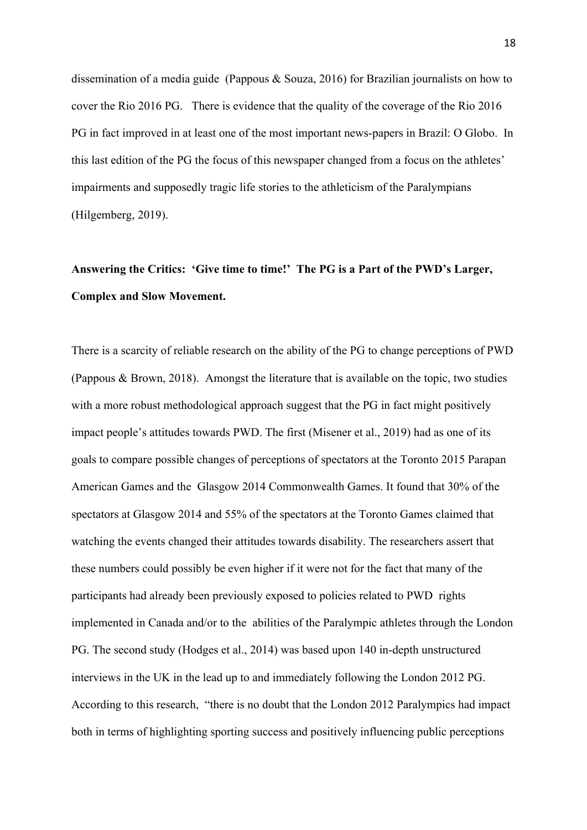dissemination of a media guide (Pappous & Souza, 2016) for Brazilian journalists on how to cover the Rio 2016 PG. There is evidence that the quality of the coverage of the Rio 2016 PG in fact improved in at least one of the most important news-papers in Brazil: O Globo. In this last edition of the PG the focus of this newspaper changed from a focus on the athletes' impairments and supposedly tragic life stories to the athleticism of the Paralympians (Hilgemberg, 2019).

# **Answering the Critics: 'Give time to time!' The PG is a Part of the PWD's Larger, Complex and Slow Movement.**

 (Pappous & Brown, 2018). Amongst the literature that is available on the topic, two studies impact people's attitudes towards PWD. The first (Misener et al., 2019) had as one of its American Games and the Glasgow 2014 Commonwealth Games. It found that 30% of the spectators at Glasgow 2014 and 55% of the spectators at the Toronto Games claimed that watching the events changed their attitudes towards disability. The researchers assert that these numbers could possibly be even higher if it were not for the fact that many of the PG. The second study (Hodges et al., 2014) was based upon 140 in-depth unstructured interviews in the UK in the lead up to and immediately following the London 2012 PG. There is a scarcity of reliable research on the ability of the PG to change perceptions of PWD with a more robust methodological approach suggest that the PG in fact might positively goals to compare possible changes of perceptions of spectators at the Toronto 2015 Parapan participants had already been previously exposed to policies related to PWD rights implemented in Canada and/or to the abilities of the Paralympic athletes through the London According to this research, "there is no doubt that the London 2012 Paralympics had impact both in terms of highlighting sporting success and positively influencing public perceptions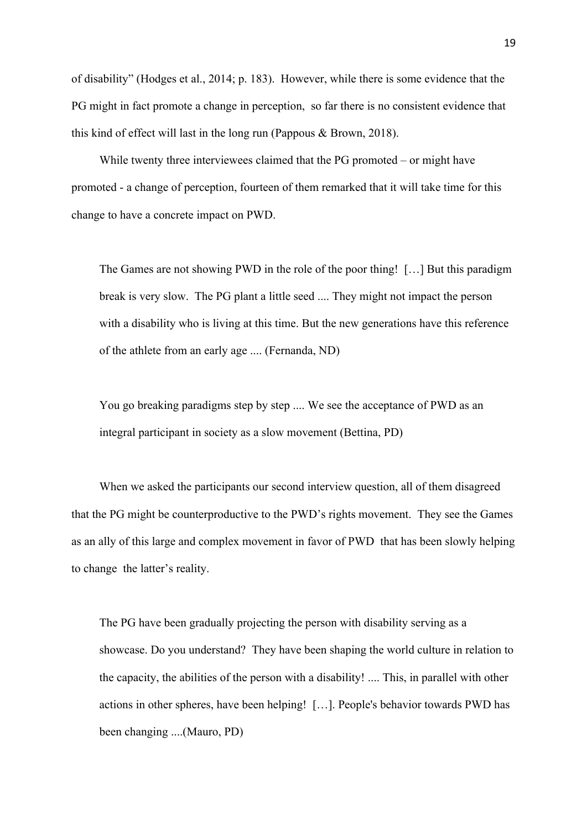of disability" (Hodges et al., 2014; p. 183). However, while there is some evidence that the PG might in fact promote a change in perception, so far there is no consistent evidence that this kind of effect will last in the long run (Pappous & Brown, 2018).

 promoted - a change of perception, fourteen of them remarked that it will take time for this While twenty three interviewees claimed that the PG promoted – or might have change to have a concrete impact on PWD.

 The Games are not showing PWD in the role of the poor thing! […] But this paradigm with a disability who is living at this time. But the new generations have this reference of the athlete from an early age .... (Fernanda, ND) break is very slow. The PG plant a little seed .... They might not impact the person

You go breaking paradigms step by step .... We see the acceptance of PWD as an integral participant in society as a slow movement (Bettina, PD)

 as an ally of this large and complex movement in favor of PWD that has been slowly helping to change the latter's reality. When we asked the participants our second interview question, all of them disagreed that the PG might be counterproductive to the PWD's rights movement. They see the Games

 actions in other spheres, have been helping! […]. People's behavior towards PWD has The PG have been gradually projecting the person with disability serving as a showcase. Do you understand? They have been shaping the world culture in relation to the capacity, the abilities of the person with a disability! .... This, in parallel with other been changing ....(Mauro, PD)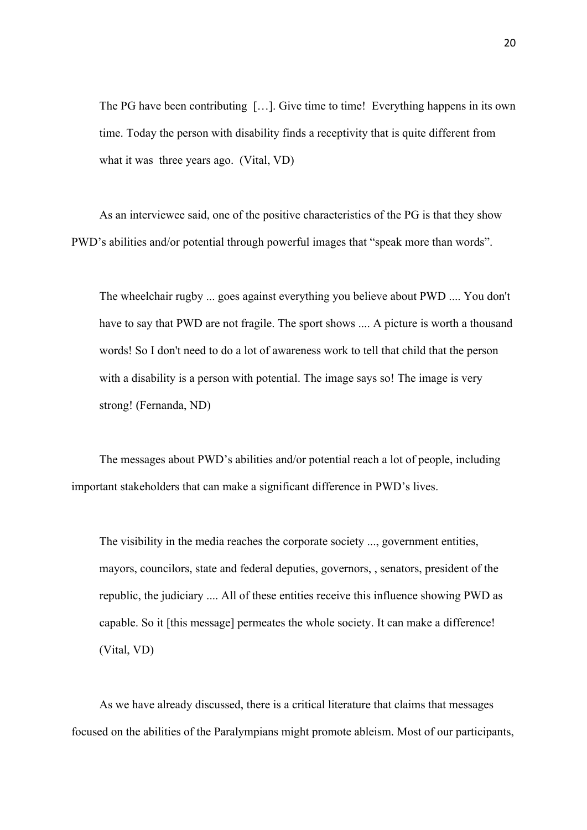The PG have been contributing […]. Give time to time! Everything happens in its own time. Today the person with disability finds a receptivity that is quite different from what it was three years ago. (Vital, VD)

 As an interviewee said, one of the positive characteristics of the PG is that they show PWD's abilities and/or potential through powerful images that "speak more than words".

The wheelchair rugby ... goes against everything you believe about PWD .... You don't have to say that PWD are not fragile. The sport shows .... A picture is worth a thousand words! So I don't need to do a lot of awareness work to tell that child that the person with a disability is a person with potential. The image says so! The image is very strong! (Fernanda, ND)

 The messages about PWD's abilities and/or potential reach a lot of people, including important stakeholders that can make a significant difference in PWD's lives.

 mayors, councilors, state and federal deputies, governors, , senators, president of the capable. So it [this message] permeates the whole society. It can make a difference! The visibility in the media reaches the corporate society ..., government entities, republic, the judiciary .... All of these entities receive this influence showing PWD as (Vital, VD)

 As we have already discussed, there is a critical literature that claims that messages focused on the abilities of the Paralympians might promote ableism. Most of our participants,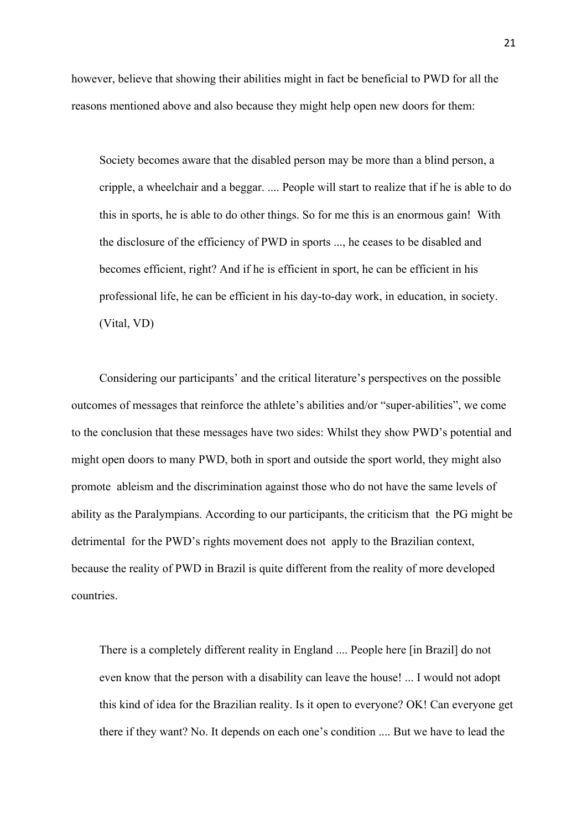however, believe that showing their abilities might in fact be beneficial to PWD for all the reasons mentioned above and also because they might help open new doors for them:

 cripple, a wheelchair and a beggar. .... People will start to realize that if he is able to do this in sports, he is able to do other things. So for me this is an enormous gain! With the disclosure of the efficiency of PWD in sports ..., he ceases to be disabled and Society becomes aware that the disabled person may be more than a blind person, a becomes efficient, right? And if he is efficient in sport, he can be efficient in his professional life, he can be efficient in his day-to-day work, in education, in society. (Vital, VD)

 Considering our participants' and the critical literature's perspectives on the possible ability as the Paralympians. According to our participants, the criticism that the PG might be detrimental for the PWD's rights movement does not apply to the Brazilian context, outcomes of messages that reinforce the athlete's abilities and/or "super-abilities", we come to the conclusion that these messages have two sides: Whilst they show PWD's potential and might open doors to many PWD, both in sport and outside the sport world, they might also promote ableism and the discrimination against those who do not have the same levels of because the reality of PWD in Brazil is quite different from the reality of more developed countries.

There is a completely different reality in England .... People here [in Brazil] do not even know that the person with a disability can leave the house! ... I would not adopt this kind of idea for the Brazilian reality. Is it open to everyone? OK! Can everyone get there if they want? No. It depends on each one's condition .... But we have to lead the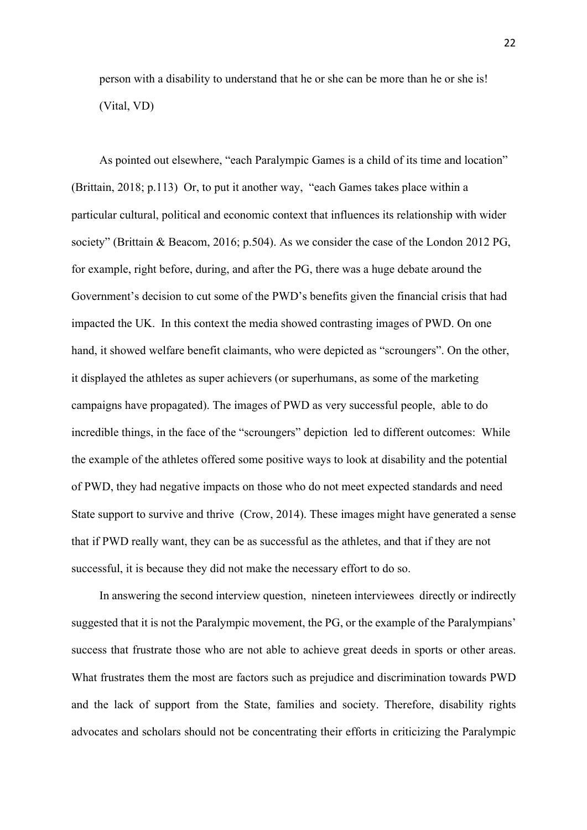person with a disability to understand that he or she can be more than he or she is! (Vital, VD)

 (Brittain, 2018; p.113) Or, to put it another way, "each Games takes place within a impacted the UK. In this context the media showed contrasting images of PWD. On one it displayed the athletes as super achievers (or superhumans, as some of the marketing incredible things, in the face of the "scroungers" depiction led to different outcomes: While State support to survive and thrive (Crow, 2014). These images might have generated a sense that if PWD really want, they can be as successful as the athletes, and that if they are not successful, it is because they did not make the necessary effort to do so. As pointed out elsewhere, "each Paralympic Games is a child of its time and location" particular cultural, political and economic context that influences its relationship with wider society" (Brittain & Beacom, 2016; p.504). As we consider the case of the London 2012 PG, for example, right before, during, and after the PG, there was a huge debate around the Government's decision to cut some of the PWD's benefits given the financial crisis that had hand, it showed welfare benefit claimants, who were depicted as "scroungers". On the other, campaigns have propagated). The images of PWD as very successful people, able to do the example of the athletes offered some positive ways to look at disability and the potential of PWD, they had negative impacts on those who do not meet expected standards and need

 In answering the second interview question, nineteen interviewees directly or indirectly suggested that it is not the Paralympic movement, the PG, or the example of the Paralympians' success that frustrate those who are not able to achieve great deeds in sports or other areas. What frustrates them the most are factors such as prejudice and discrimination towards PWD and the lack of support from the State, families and society. Therefore, disability rights advocates and scholars should not be concentrating their efforts in criticizing the Paralympic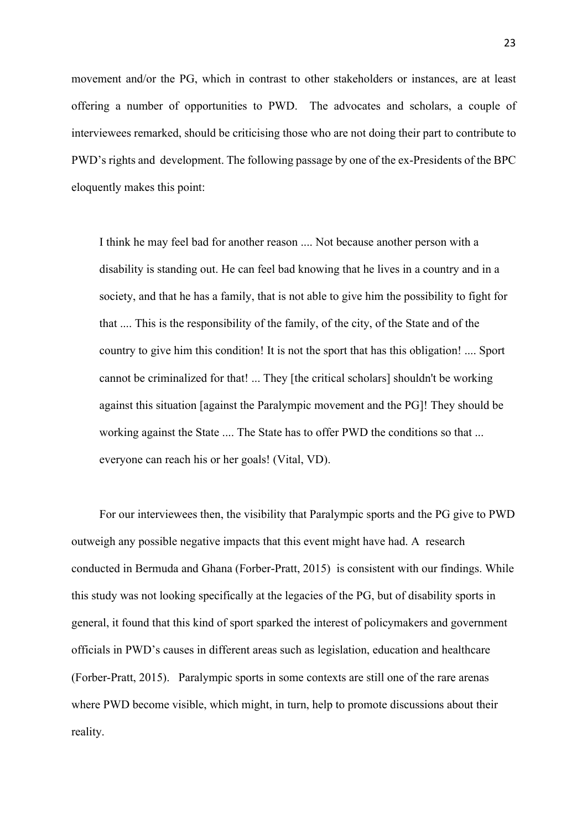movement and/or the PG, which in contrast to other stakeholders or instances, are at least offering a number of opportunities to PWD. The advocates and scholars, a couple of interviewees remarked, should be criticising those who are not doing their part to contribute to PWD's rights and development. The following passage by one of the ex-Presidents of the BPC eloquently makes this point:

 that .... This is the responsibility of the family, of the city, of the State and of the working against the State .... The State has to offer PWD the conditions so that ... I think he may feel bad for another reason .... Not because another person with a disability is standing out. He can feel bad knowing that he lives in a country and in a society, and that he has a family, that is not able to give him the possibility to fight for country to give him this condition! It is not the sport that has this obligation! .... Sport cannot be criminalized for that! ... They [the critical scholars] shouldn't be working against this situation [against the Paralympic movement and the PG]! They should be everyone can reach his or her goals! (Vital, VD).

 For our interviewees then, the visibility that Paralympic sports and the PG give to PWD outweigh any possible negative impacts that this event might have had. A research conducted in Bermuda and Ghana (Forber-Pratt, 2015) is consistent with our findings. While (Forber-Pratt, 2015). Paralympic sports in some contexts are still one of the rare arenas where PWD become visible, which might, in turn, help to promote discussions about their this study was not looking specifically at the legacies of the PG, but of disability sports in general, it found that this kind of sport sparked the interest of policymakers and government officials in PWD's causes in different areas such as legislation, education and healthcare reality.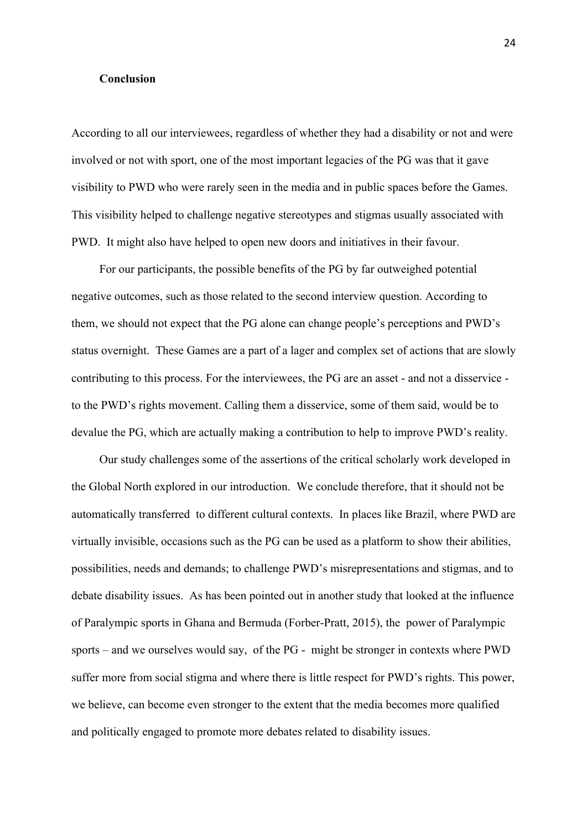# **Conclusion**

 According to all our interviewees, regardless of whether they had a disability or not and were involved or not with sport, one of the most important legacies of the PG was that it gave visibility to PWD who were rarely seen in the media and in public spaces before the Games. PWD. It might also have helped to open new doors and initiatives in their favour. This visibility helped to challenge negative stereotypes and stigmas usually associated with

 For our participants, the possible benefits of the PG by far outweighed potential negative outcomes, such as those related to the second interview question. According to them, we should not expect that the PG alone can change people's perceptions and PWD's contributing to this process. For the interviewees, the PG are an asset - and not a disservice - to the PWD's rights movement. Calling them a disservice, some of them said, would be to devalue the PG, which are actually making a contribution to help to improve PWD's reality. status overnight. These Games are a part of a lager and complex set of actions that are slowly

 Our study challenges some of the assertions of the critical scholarly work developed in automatically transferred to different cultural contexts. In places like Brazil, where PWD are virtually invisible, occasions such as the PG can be used as a platform to show their abilities, debate disability issues. As has been pointed out in another study that looked at the influence of Paralympic sports in Ghana and Bermuda (Forber-Pratt, 2015), the power of Paralympic sports – and we ourselves would say, of the PG - might be stronger in contexts where PWD suffer more from social stigma and where there is little respect for PWD's rights. This power, the Global North explored in our introduction. We conclude therefore, that it should not be possibilities, needs and demands; to challenge PWD's misrepresentations and stigmas, and to we believe, can become even stronger to the extent that the media becomes more qualified and politically engaged to promote more debates related to disability issues.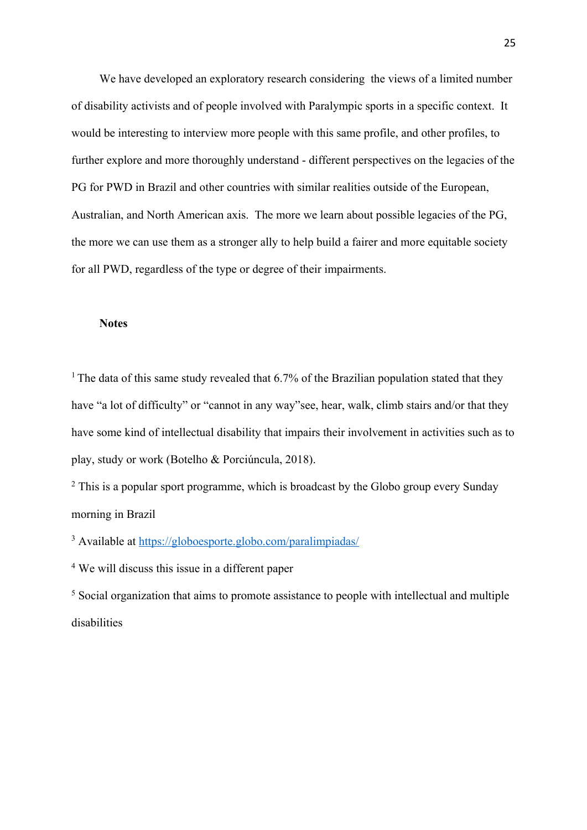of disability activists and of people involved with Paralympic sports in a specific context. It further explore and more thoroughly understand - different perspectives on the legacies of the PG for PWD in Brazil and other countries with similar realities outside of the European, Australian, and North American axis. The more we learn about possible legacies of the PG, the more we can use them as a stronger ally to help build a fairer and more equitable society We have developed an exploratory research considering the views of a limited number would be interesting to interview more people with this same profile, and other profiles, to for all PWD, regardless of the type or degree of their impairments.

#### **Notes**

<sup>1</sup> The data of this same study revealed that  $6.7\%$  of the Brazilian population stated that they have "a lot of difficulty" or "cannot in any way" see, hear, walk, climb stairs and/or that they have some kind of intellectual disability that impairs their involvement in activities such as to play, study or work (Botelho & Porciúncula, 2018).

 $2$  This is a popular sport programme, which is broadcast by the Globo group every Sunday morning in Brazil

<sup>3</sup> Available at https://globoesporte.globo.com/paralimpiadas/

<sup>4</sup> We will discuss this issue in a different paper

<sup>5</sup> Social organization that aims to promote assistance to people with intellectual and multiple disabilities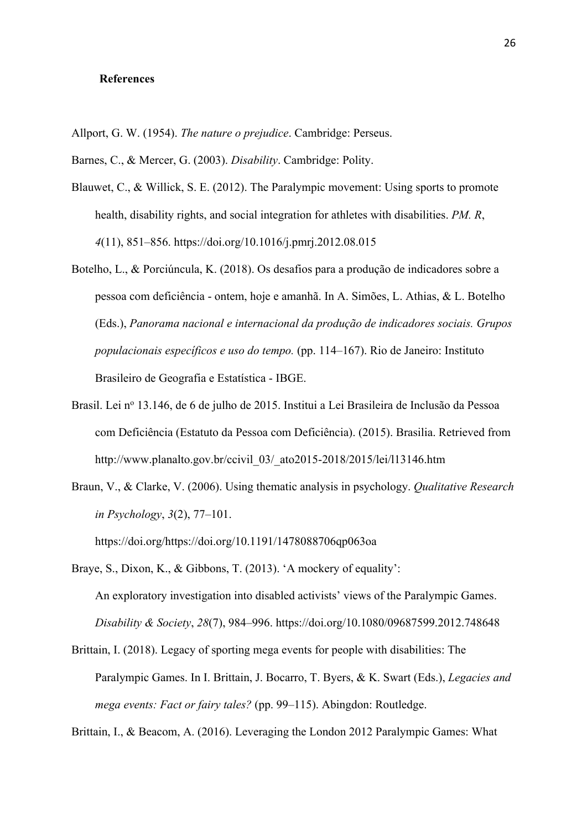### **References**

Allport, G. W. (1954). *The nature o prejudice*. Cambridge: Perseus.

Barnes, C., & Mercer, G. (2003). *Disability*. Cambridge: Polity.

- Blauwet, C., & Willick, S. E. (2012). The Paralympic movement: Using sports to promote health, disability rights, and social integration for athletes with disabilities. *PM. R*, *4*(11), 851–856. https://doi.org/10.1016/j.pmrj.2012.08.015
- pessoa com deficiência ontem, hoje e amanhã. In A. Simões, L. Athias, & L. Botelho Brasileiro de Geografia e Estatística - IBGE. Botelho, L., & Porciúncula, K. (2018). Os desafios para a produção de indicadores sobre a (Eds.), *Panorama nacional e internacional da produção de indicadores sociais. Grupos populacionais específicos e uso do tempo.* (pp. 114–167). Rio de Janeiro: Instituto
- Brasil. Lei nº 13.146, de 6 de julho de 2015. Institui a Lei Brasileira de Inclusão da Pessoa com Deficiência (Estatuto da Pessoa com Deficiência). (2015). Brasilia. Retrieved from http://www.planalto.gov.br/ccivil\_03/\_ato2015-2018/2015/lei/l13146.htm
- Braun, V., & Clarke, V. (2006). Using thematic analysis in psychology. *Qualitative Research in Psychology*, *3*(2), 77–101.

https://doi.org/https://doi.org/10.1191/1478088706qp063oa

- Braye, S., Dixon, K., & Gibbons, T. (2013). 'A mockery of equality': An exploratory investigation into disabled activists' views of the Paralympic Games. *Disability & Society*, *28*(7), 984–996. https://doi.org/10.1080/09687599.2012.748648
- *mega events: Fact or fairy tales?* (pp. 99–115). Abingdon: Routledge. Brittain, I. (2018). Legacy of sporting mega events for people with disabilities: The Paralympic Games. In I. Brittain, J. Bocarro, T. Byers, & K. Swart (Eds.), *Legacies and*

Brittain, I., & Beacom, A. (2016). Leveraging the London 2012 Paralympic Games: What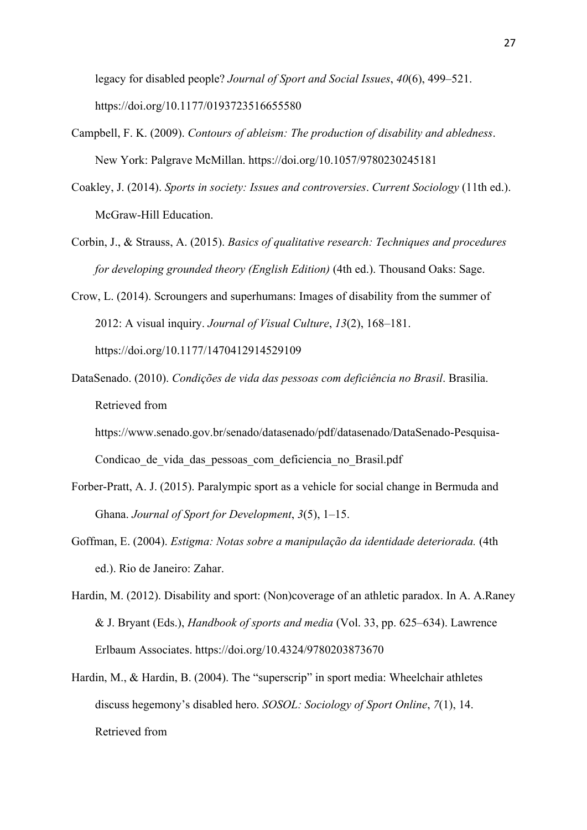legacy for disabled people? *Journal of Sport and Social Issues*, *40*(6), 499–521. https://doi.org/10.1177/0193723516655580

- Campbell, F. K. (2009). *Contours of ableism: The production of disability and abledness*. New York: Palgrave McMillan. https://doi.org/10.1057/9780230245181
- Coakley, J. (2014). *Sports in society: Issues and controversies*. *Current Sociology* (11th ed.). McGraw-Hill Education.
- Corbin, J., & Strauss, A. (2015). *Basics of qualitative research: Techniques and procedures for developing grounded theory (English Edition)* (4th ed.). Thousand Oaks: Sage.
- Crow, L. (2014). Scroungers and superhumans: Images of disability from the summer of 2012: A visual inquiry. *Journal of Visual Culture*, *13*(2), 168–181. https://doi.org/10.1177/1470412914529109
- DataSenado. (2010). *Condições de vida das pessoas com deficiência no Brasil*. Brasilia. Retrieved from

https://www.senado.gov.br/senado/datasenado/pdf/datasenado/DataSenado-Pesquisa-Condicao de vida das pessoas com deficiencia no Brasil.pdf

- Forber-Pratt, A. J. (2015). Paralympic sport as a vehicle for social change in Bermuda and Ghana. *Journal of Sport for Development*, *3*(5), 1–15.
- Goffman, E. (2004). *Estigma: Notas sobre a manipulação da identidade deteriorada.* (4th ed.). Rio de Janeiro: Zahar.
- Hardin, M. (2012). Disability and sport: (Non)coverage of an athletic paradox. In A. A.Raney & J. Bryant (Eds.), *Handbook of sports and media* (Vol. 33, pp. 625–634). Lawrence Erlbaum Associates. https://doi.org/10.4324/9780203873670
- Hardin, M., & Hardin, B. (2004). The "superscrip" in sport media: Wheelchair athletes discuss hegemony's disabled hero. *SOSOL: Sociology of Sport Online*, *7*(1), 14. Retrieved from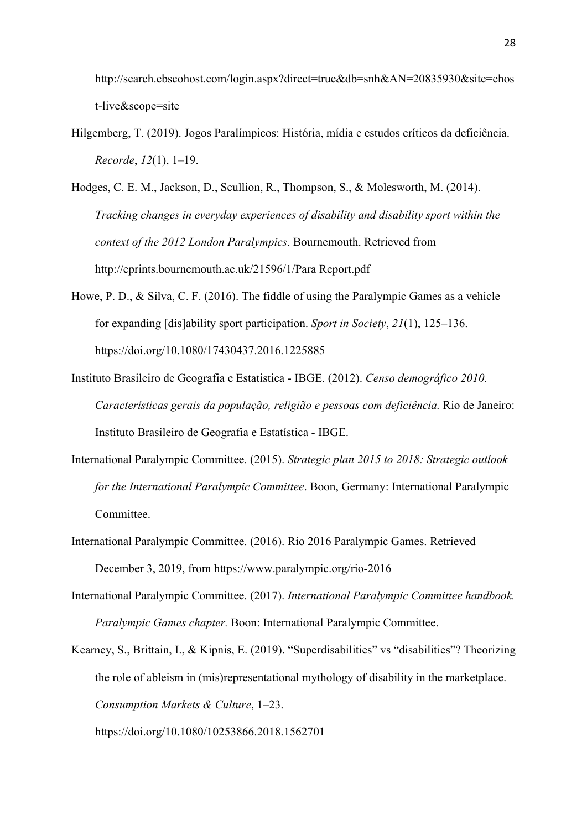http://search.ebscohost.com/login.aspx?direct=true&db=snh&AN=20835930&site=ehos t-live&scope=site

- Hilgemberg, T. (2019). Jogos Paralímpicos: História, mídia e estudos críticos da deficiência. *Recorde*, *12*(1), 1–19.
- Hodges, C. E. M., Jackson, D., Scullion, R., Thompson, S., & Molesworth, M. (2014). *Tracking changes in everyday experiences of disability and disability sport within the context of the 2012 London Paralympics*. Bournemouth. Retrieved from http://eprints.bournemouth.ac.uk/21596/1/Para Report.pdf
- Howe, P. D., & Silva, C. F. (2016). The fiddle of using the Paralympic Games as a vehicle for expanding [dis]ability sport participation. *Sport in Society*, *21*(1), 125–136. https://doi.org/10.1080/17430437.2016.1225885
- Instituto Brasileiro de Geografia e Estatística IBGE. Instituto Brasileiro de Geografia e Estatistica - IBGE. (2012). *Censo demográfico 2010. Características gerais da população, religião e pessoas com deficiência.* Rio de Janeiro:
- International Paralympic Committee. (2015). *Strategic plan 2015 to 2018: Strategic outlook for the International Paralympic Committee*. Boon, Germany: International Paralympic Committee.
- International Paralympic Committee. (2016). Rio 2016 Paralympic Games. Retrieved December 3, 2019, from https://www.paralympic.org/rio-2016
- International Paralympic Committee. (2017). *International Paralympic Committee handbook. Paralympic Games chapter.* Boon: International Paralympic Committee.
- Kearney, S., Brittain, I., & Kipnis, E. (2019). "Superdisabilities" vs "disabilities"? Theorizing the role of ableism in (mis)representational mythology of disability in the marketplace. *Consumption Markets & Culture*, 1–23.

https://doi.org/10.1080/10253866.2018.1562701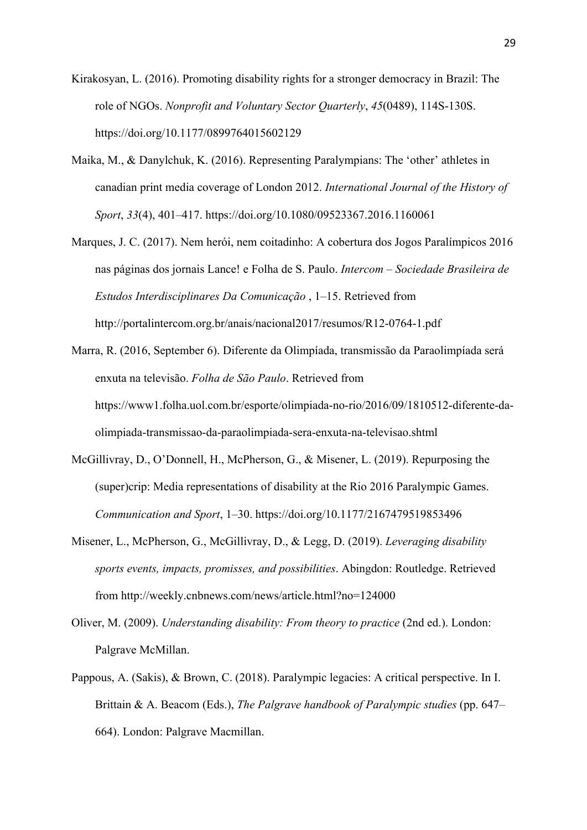Kirakosyan, L. (2016). Promoting disability rights for a stronger democracy in Brazil: The role of NGOs. *Nonprofit and Voluntary Sector Quarterly*, *45*(0489), 114S-130S. https://doi.org/10.1177/0899764015602129

- canadian print media coverage of London 2012. *International Journal of the History of*  Maika, M., & Danylchuk, K. (2016). Representing Paralympians: The 'other' athletes in *Sport*, *33*(4), 401–417. https://doi.org/10.1080/09523367.2016.1160061
- Marques, J. C. (2017). Nem herói, nem coitadinho: A cobertura dos Jogos Paralímpicos 2016 nas páginas dos jornais Lance! e Folha de S. Paulo. *Intercom – Sociedade Brasileira de Estudos Interdisciplinares Da Comunicação* , 1–15. Retrieved from http://portalintercom.org.br/anais/nacional2017/resumos/R12-0764-1.pdf
- Marra, R. (2016, September 6). Diferente da Olimpíada, transmissão da Paraolimpíada será enxuta na televisão. *Folha de São Paulo*. Retrieved from https://www1.folha.uol.com.br/esporte/olimpiada-no-rio/2016/09/1810512-diferente-daolimpiada-transmissao-da-paraolimpiada-sera-enxuta-na-televisao.shtml
- McGillivray, D., O'Donnell, H., McPherson, G., & Misener, L. (2019). Repurposing the (super)crip: Media representations of disability at the Rio 2016 Paralympic Games. *Communication and Sport*, 1–30. https://doi.org/10.1177/2167479519853496
- Misener, L., McPherson, G., McGillivray, D., & Legg, D. (2019). *Leveraging disability sports events, impacts, promisses, and possibilities*. Abingdon: Routledge. Retrieved from http://weekly.cnbnews.com/news/article.html?no=124000
- Oliver, M. (2009). *Understanding disability: From theory to practice* (2nd ed.). London: Palgrave McMillan.
- Pappous, A. (Sakis), & Brown, C. (2018). Paralympic legacies: A critical perspective. In I. Brittain & A. Beacom (Eds.), *The Palgrave handbook of Paralympic studies* (pp. 647– 664). London: Palgrave Macmillan.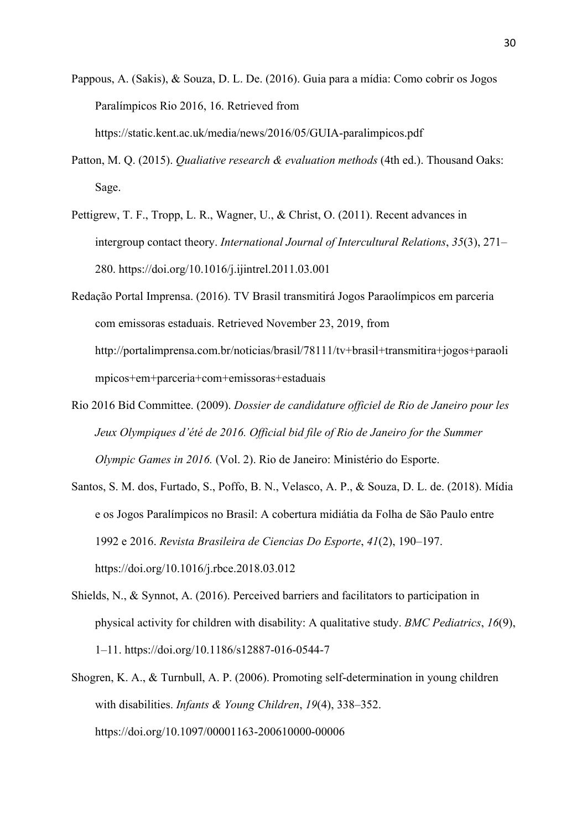- Pappous, A. (Sakis), & Souza, D. L. De. (2016). Guia para a mídia: Como cobrir os Jogos Paralímpicos Rio 2016, 16. Retrieved from https://static.kent.ac.uk/media/news/2016/05/GUIA-paralimpicos.pdf
- Patton, M. Q. (2015). *Qualiative research & evaluation methods* (4th ed.). Thousand Oaks: Sage.
- Pettigrew, T. F., Tropp, L. R., Wagner, U., & Christ, O. (2011). Recent advances in intergroup contact theory. *International Journal of Intercultural Relations*, *35*(3), 271– 280. https://doi.org/10.1016/j.ijintrel.2011.03.001
- Redação Portal Imprensa. (2016). TV Brasil transmitirá Jogos Paraolímpicos em parceria com emissoras estaduais. Retrieved November 23, 2019, from http://portalimprensa.com.br/noticias/brasil/78111/tv+brasil+transmitira+jogos+paraoli mpicos+em+parceria+com+emissoras+estaduais
- Rio 2016 Bid Committee. (2009). *Dossier de candidature officiel de Rio de Janeiro pour les Jeux Olympiques d'été de 2016. Official bid file of Rio de Janeiro for the Summer Olympic Games in 2016.* (Vol. 2). Rio de Janeiro: Ministério do Esporte.
- e os Jogos Paralímpicos no Brasil: A cobertura midiátia da Folha de São Paulo entre Santos, S. M. dos, Furtado, S., Poffo, B. N., Velasco, A. P., & Souza, D. L. de. (2018). Mídia 1992 e 2016. *Revista Brasileira de Ciencias Do Esporte*, *41*(2), 190–197. https://doi.org/10.1016/j.rbce.2018.03.012
- Shields, N., & Synnot, A. (2016). Perceived barriers and facilitators to participation in physical activity for children with disability: A qualitative study. *BMC Pediatrics*, *16*(9), 1–11. https://doi.org/10.1186/s12887-016-0544-7
- Shogren, K. A., & Turnbull, A. P. (2006). Promoting self-determination in young children with disabilities. *Infants & Young Children*, *19*(4), 338–352. https://doi.org/10.1097/00001163-200610000-00006